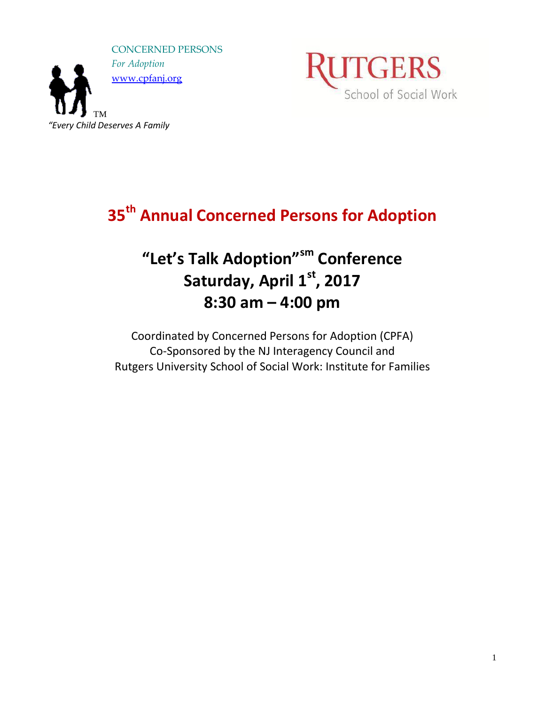



**35th Annual Concerned Persons for Adoption**

# **"Let's Talk Adoption"sm Conference Saturday, April 1<sup>st</sup>, 2017 8:30 am – 4:00 pm**

Coordinated by Concerned Persons for Adoption (CPFA) Co-Sponsored by the NJ Interagency Council and Rutgers University School of Social Work: Institute for Families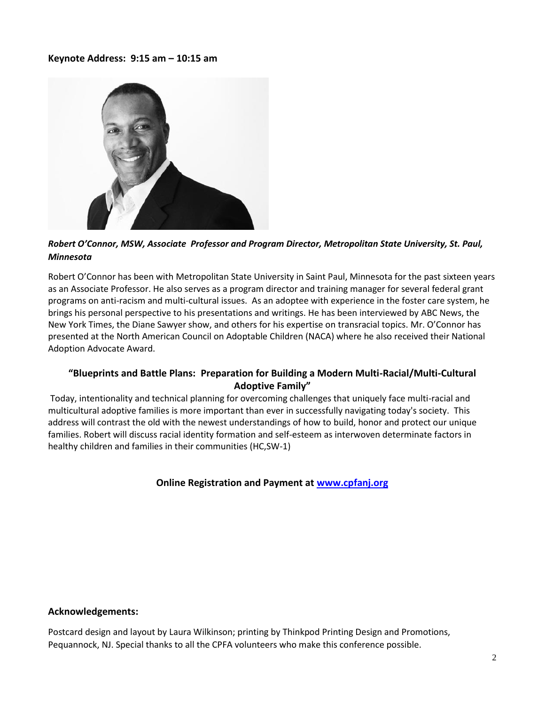## **Keynote Address: 9:15 am – 10:15 am**



*Robert O'Connor, MSW, Associate Professor and Program Director, Metropolitan State University, St. Paul, Minnesota*

Robert O'Connor has been with Metropolitan State University in Saint Paul, Minnesota for the past sixteen years as an Associate Professor. He also serves as a program director and training manager for several federal grant programs on anti-racism and multi-cultural issues. As an adoptee with experience in the foster care system, he brings his personal perspective to his presentations and writings. He has been interviewed by ABC News, the New York Times, the Diane Sawyer show, and others for his expertise on transracial topics. Mr. O'Connor has presented at the North American Council on Adoptable Children (NACA) where he also received their National Adoption Advocate Award.

## **"Blueprints and Battle Plans: Preparation for Building a Modern Multi-Racial/Multi-Cultural Adoptive Family"**

Today, intentionality and technical planning for overcoming challenges that uniquely face multi-racial and multicultural adoptive families is more important than ever in successfully navigating today's society. This address will contrast the old with the newest understandings of how to build, honor and protect our unique families. Robert will discuss racial identity formation and self-esteem as interwoven determinate factors in healthy children and families in their communities (HC,SW-1)

**Online Registration and Payment at [www.cpfanj.org](http://www.cpfanj.org/)**

## **Acknowledgements:**

Postcard design and layout by Laura Wilkinson; printing by Thinkpod Printing Design and Promotions, Pequannock, NJ. Special thanks to all the CPFA volunteers who make this conference possible.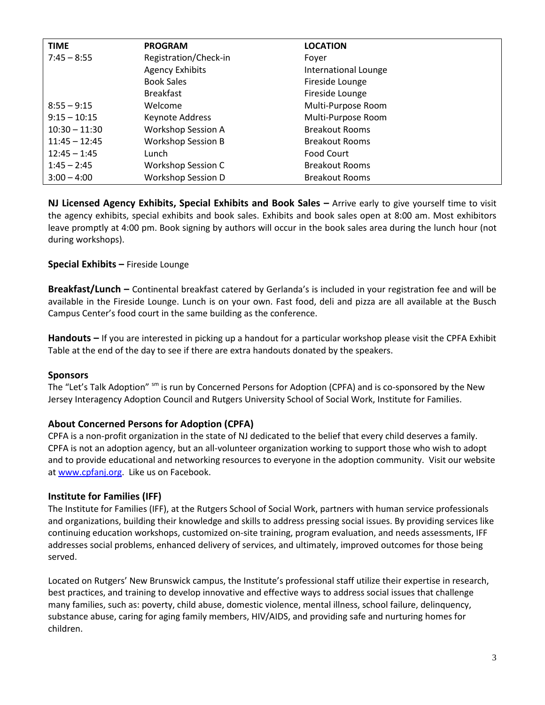| <b>TIME</b>     | <b>PROGRAM</b>            | <b>LOCATION</b>       |
|-----------------|---------------------------|-----------------------|
| $7:45 - 8:55$   | Registration/Check-in     | Fover                 |
|                 | <b>Agency Exhibits</b>    | International Lounge  |
|                 | <b>Book Sales</b>         | Fireside Lounge       |
|                 | <b>Breakfast</b>          | Fireside Lounge       |
| $8:55 - 9:15$   | Welcome                   | Multi-Purpose Room    |
| $9:15 - 10:15$  | Keynote Address           | Multi-Purpose Room    |
| $10:30 - 11:30$ | <b>Workshop Session A</b> | <b>Breakout Rooms</b> |
| $11:45 - 12:45$ | <b>Workshop Session B</b> | <b>Breakout Rooms</b> |
| $12:45 - 1:45$  | Lunch                     | Food Court            |
| $1:45 - 2:45$   | <b>Workshop Session C</b> | <b>Breakout Rooms</b> |
| $3:00 - 4:00$   | <b>Workshop Session D</b> | <b>Breakout Rooms</b> |

**NJ Licensed Agency Exhibits, Special Exhibits and Book Sales – Arrive early to give yourself time to visit** the agency exhibits, special exhibits and book sales. Exhibits and book sales open at 8:00 am. Most exhibitors leave promptly at 4:00 pm. Book signing by authors will occur in the book sales area during the lunch hour (not during workshops).

## **Special Exhibits –** Fireside Lounge

**Breakfast/Lunch –** Continental breakfast catered by Gerlanda's is included in your registration fee and will be available in the Fireside Lounge. Lunch is on your own. Fast food, deli and pizza are all available at the Busch Campus Center's food court in the same building as the conference.

**Handouts –** If you are interested in picking up a handout for a particular workshop please visit the CPFA Exhibit Table at the end of the day to see if there are extra handouts donated by the speakers.

#### **Sponsors**

The "Let's Talk Adoption" <sup>sm</sup> is run by Concerned Persons for Adoption (CPFA) and is co-sponsored by the New Jersey Interagency Adoption Council and Rutgers University School of Social Work, Institute for Families.

#### **About Concerned Persons for Adoption (CPFA)**

CPFA is a non-profit organization in the state of NJ dedicated to the belief that every child deserves a family. CPFA is not an adoption agency, but an all-volunteer organization working to support those who wish to adopt and to provide educational and networking resources to everyone in the adoption community. Visit our website at [www.cpfanj.org.](http://www.cpfanj.org/) Like us on Facebook.

#### **Institute for Families (IFF)**

The Institute for Families (IFF), at the Rutgers School of Social Work, partners with human service professionals and organizations, building their knowledge and skills to address pressing social issues. By providing services like continuing education workshops, customized on-site training, program evaluation, and needs assessments, IFF addresses social problems, enhanced delivery of services, and ultimately, improved outcomes for those being served.

Located on Rutgers' New Brunswick campus, the Institute's professional staff utilize their expertise in research, best practices, and training to develop innovative and effective ways to address social issues that challenge many families, such as: poverty, child abuse, domestic violence, mental illness, school failure, delinquency, substance abuse, caring for aging family members, HIV/AIDS, and providing safe and nurturing homes for children.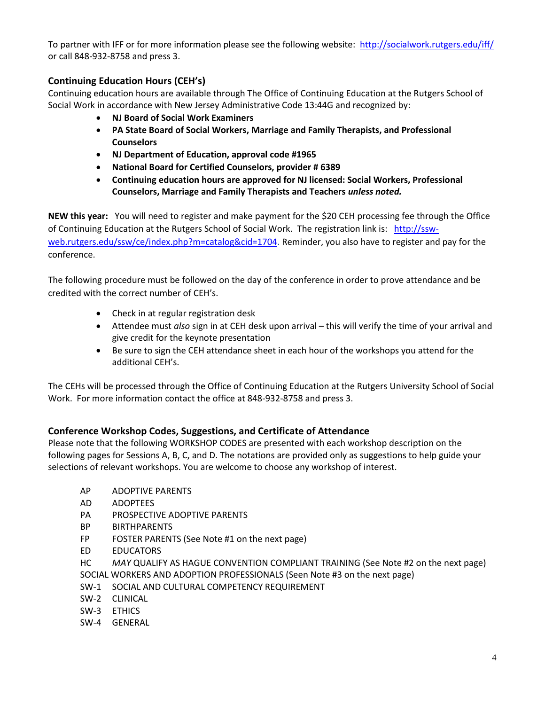To partner with IFF or for more information please see the following website:<http://socialwork.rutgers.edu/iff/> or call 848-932-8758 and press 3.

## **Continuing Education Hours (CEH's)**

Continuing education hours are available through The Office of Continuing Education at the Rutgers School of Social Work in accordance with New Jersey Administrative Code 13:44G and recognized by:

- **NJ Board of Social Work Examiners**
- **PA State Board of Social Workers, Marriage and Family Therapists, and Professional Counselors**
- **NJ Department of Education, approval code #1965**
- **National Board for Certified Counselors, provider # 6389**
- **Continuing education hours are approved for NJ licensed: Social Workers, Professional Counselors, Marriage and Family Therapists and Teachers** *unless noted.*

**NEW this year:** You will need to register and make payment for the \$20 CEH processing fee through the Office of Continuing Education at the Rutgers School of Social Work. The registration link is: [http://ssw](http://ssw-web.rutgers.edu/ssw/ce/index.php?m=catalog&cid=1704)[web.rutgers.edu/ssw/ce/index.php?m=catalog&cid=1704.](http://ssw-web.rutgers.edu/ssw/ce/index.php?m=catalog&cid=1704) Reminder, you also have to register and pay for the conference.

The following procedure must be followed on the day of the conference in order to prove attendance and be credited with the correct number of CEH's.

- Check in at regular registration desk
- Attendee must *also* sign in at CEH desk upon arrival this will verify the time of your arrival and give credit for the keynote presentation
- Be sure to sign the CEH attendance sheet in each hour of the workshops you attend for the additional CEH's.

The CEHs will be processed through the Office of Continuing Education at the Rutgers University School of Social Work. For more information contact the office at 848-932-8758 and press 3.

## **Conference Workshop Codes, Suggestions, and Certificate of Attendance**

Please note that the following WORKSHOP CODES are presented with each workshop description on the following pages for Sessions A, B, C, and D. The notations are provided only as suggestions to help guide your selections of relevant workshops. You are welcome to choose any workshop of interest.

- AP ADOPTIVE PARENTS
- AD ADOPTEES
- PA PROSPECTIVE ADOPTIVE PARENTS
- BP BIRTHPARENTS
- FP FOSTER PARENTS (See Note #1 on the next page)
- ED EDUCATORS

HC *MAY* QUALIFY AS HAGUE CONVENTION COMPLIANT TRAINING (See Note #2 on the next page) SOCIAL WORKERS AND ADOPTION PROFESSIONALS (Seen Note #3 on the next page)

- SW-1 SOCIAL AND CULTURAL COMPETENCY REQUIREMENT
- SW-2 CLINICAL
- SW-3 ETHICS
- SW-4 GENERAL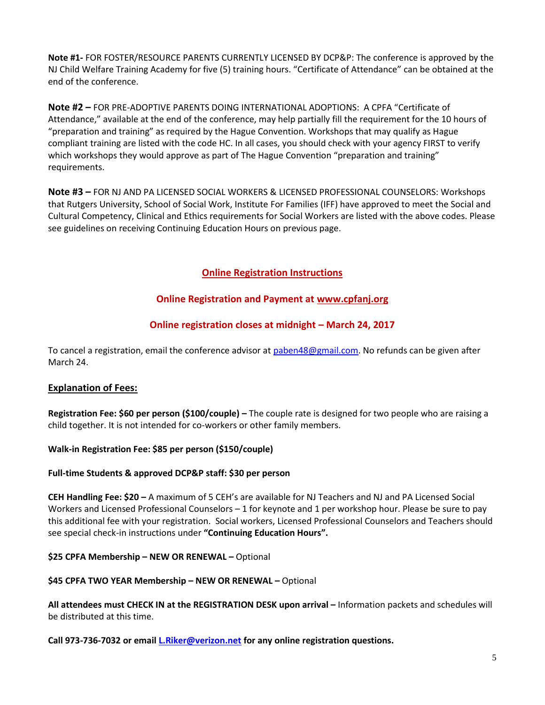**Note #1-** FOR FOSTER/RESOURCE PARENTS CURRENTLY LICENSED BY DCP&P: The conference is approved by the NJ Child Welfare Training Academy for five (5) training hours. "Certificate of Attendance" can be obtained at the end of the conference.

**Note #2 –** FOR PRE-ADOPTIVE PARENTS DOING INTERNATIONAL ADOPTIONS: A CPFA "Certificate of Attendance," available at the end of the conference, may help partially fill the requirement for the 10 hours of "preparation and training" as required by the Hague Convention. Workshops that may qualify as Hague compliant training are listed with the code HC. In all cases, you should check with your agency FIRST to verify which workshops they would approve as part of The Hague Convention "preparation and training" requirements.

**Note #3 –** FOR NJ AND PA LICENSED SOCIAL WORKERS & LICENSED PROFESSIONAL COUNSELORS: Workshops that Rutgers University, School of Social Work, Institute For Families (IFF) have approved to meet the Social and Cultural Competency, Clinical and Ethics requirements for Social Workers are listed with the above codes. Please see guidelines on receiving Continuing Education Hours on previous page.

## **Online Registration Instructions**

## **Online Registration and Payment at [www.cpfanj.org](http://www.cpfanj.org/)**

## **Online registration closes at midnight – March 24, 2017**

To cancel a registration, email the conference advisor at [paben48@gmail.com.](mailto:paben48@gmail.com) No refunds can be given after March 24.

## **Explanation of Fees:**

**Registration Fee: \$60 per person (\$100/couple) –** The couple rate is designed for two people who are raising a child together. It is not intended for co-workers or other family members.

#### **Walk-in Registration Fee: \$85 per person (\$150/couple)**

#### **Full-time Students & approved DCP&P staff: \$30 per person**

**CEH Handling Fee: \$20 –** A maximum of 5 CEH's are available for NJ Teachers and NJ and PA Licensed Social Workers and Licensed Professional Counselors – 1 for keynote and 1 per workshop hour. Please be sure to pay this additional fee with your registration. Social workers, Licensed Professional Counselors and Teachers should see special check-in instructions under **"Continuing Education Hours".**

#### **\$25 CPFA Membership – NEW OR RENEWAL –** Optional

#### **\$45 CPFA TWO YEAR Membership – NEW OR RENEWAL –** Optional

All attendees must CHECK IN at the REGISTRATION DESK upon arrival – Information packets and schedules will be distributed at this time.

**Call 973-736-7032 or email [L.Riker@verizon.net](mailto:L.Riker@verizon.net) for any online registration questions.**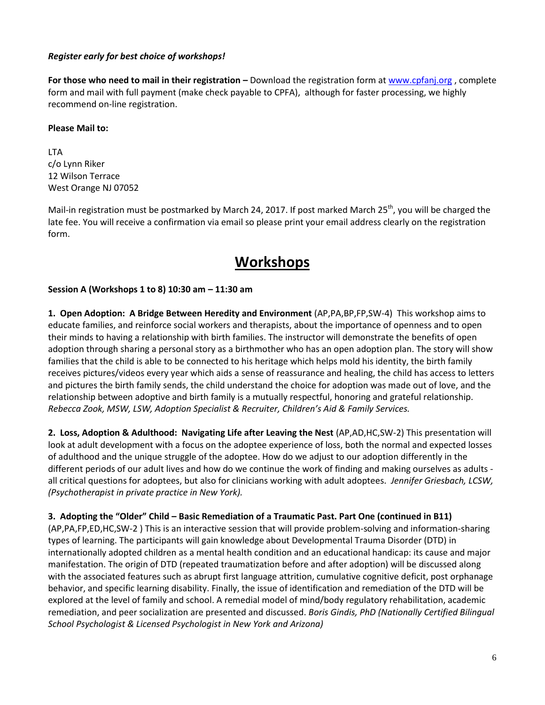## *Register early for best choice of workshops!*

**For those who need to mail in their registration –** Download the registration form a[t www.cpfanj.org](http://www.cpfanj.org/) , complete form and mail with full payment (make check payable to CPFA), although for faster processing, we highly recommend on-line registration.

#### **Please Mail to:**

LTA c/o Lynn Riker 12 Wilson Terrace West Orange NJ 07052

Mail-in registration must be postmarked by March 24, 2017. If post marked March 25<sup>th</sup>, you will be charged the late fee. You will receive a confirmation via email so please print your email address clearly on the registration form.

## **Workshops**

## **Session A (Workshops 1 to 8) 10:30 am – 11:30 am**

**1. Open Adoption: A Bridge Between Heredity and Environment** (AP,PA,BP,FP,SW-4) This workshop aims to educate families, and reinforce social workers and therapists, about the importance of openness and to open their minds to having a relationship with birth families. The instructor will demonstrate the benefits of open adoption through sharing a personal story as a birthmother who has an open adoption plan. The story will show families that the child is able to be connected to his heritage which helps mold his identity, the birth family receives pictures/videos every year which aids a sense of reassurance and healing, the child has access to letters and pictures the birth family sends, the child understand the choice for adoption was made out of love, and the relationship between adoptive and birth family is a mutually respectful, honoring and grateful relationship. *Rebecca Zook, MSW, LSW, Adoption Specialist & Recruiter, Children's Aid & Family Services.*

**2. Loss, Adoption & Adulthood: Navigating Life after Leaving the Nest** (AP,AD,HC,SW-2) This presentation will look at adult development with a focus on the adoptee experience of loss, both the normal and expected losses of adulthood and the unique struggle of the adoptee. How do we adjust to our adoption differently in the different periods of our adult lives and how do we continue the work of finding and making ourselves as adults all critical questions for adoptees, but also for clinicians working with adult adoptees. *Jennifer Griesbach, LCSW, (Psychotherapist in private practice in New York).*

**3. Adopting the "Older" Child – Basic Remediation of a Traumatic Past. Part One (continued in B11)** (AP,PA,FP,ED,HC,SW-2 ) This is an interactive session that will provide problem-solving and information-sharing types of learning. The participants will gain knowledge about Developmental Trauma Disorder (DTD) in internationally adopted children as a mental health condition and an educational handicap: its cause and major manifestation. The origin of DTD (repeated traumatization before and after adoption) will be discussed along with the associated features such as abrupt first language attrition, cumulative cognitive deficit, post orphanage behavior, and specific learning disability. Finally, the issue of identification and remediation of the DTD will be explored at the level of family and school. A remedial model of mind/body regulatory rehabilitation, academic remediation, and peer socialization are presented and discussed. *Boris Gindis, PhD (Nationally Certified Bilingual School Psychologist & Licensed Psychologist in New York and Arizona)*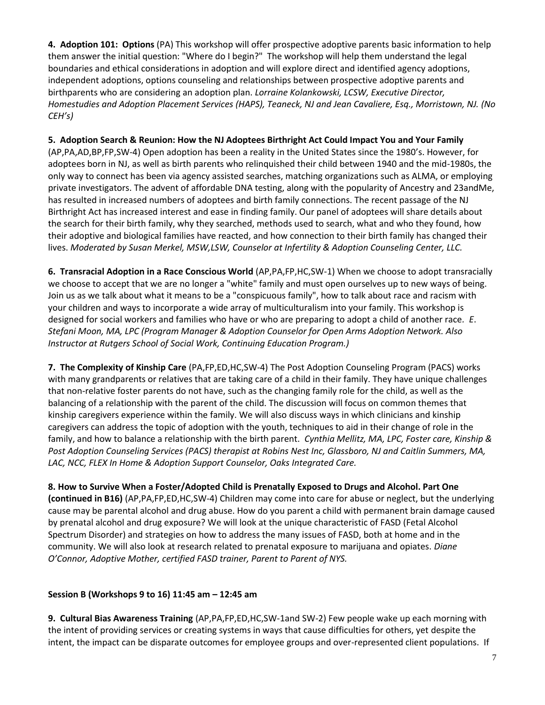**4. Adoption 101: Options** (PA) This workshop will offer prospective adoptive parents basic information to help them answer the initial question: "Where do I begin?" The workshop will help them understand the legal boundaries and ethical considerations in adoption and will explore direct and identified agency adoptions, independent adoptions, options counseling and relationships between prospective adoptive parents and birthparents who are considering an adoption plan. *Lorraine Kolankowski, LCSW, Executive Director, Homestudies and Adoption Placement Services (HAPS), Teaneck, NJ and Jean Cavaliere, Esq., Morristown, NJ. (No CEH's)*

**5. Adoption Search & Reunion: How the NJ Adoptees Birthright Act Could Impact You and Your Family** 

(AP,PA,AD,BP,FP,SW-4) Open adoption has been a reality in the United States since the 1980's. However, for adoptees born in NJ, as well as birth parents who relinquished their child between 1940 and the mid-1980s, the only way to connect has been via agency assisted searches, matching organizations such as ALMA, or employing private investigators. The advent of affordable DNA testing, along with the popularity of Ancestry and 23andMe, has resulted in increased numbers of adoptees and birth family connections. The recent passage of the NJ Birthright Act has increased interest and ease in finding family. Our panel of adoptees will share details about the search for their birth family, why they searched, methods used to search, what and who they found, how their adoptive and biological families have reacted, and how connection to their birth family has changed their lives. *Moderated by Susan Merkel, MSW,LSW, Counselor at Infertility & Adoption Counseling Center, LLC.* 

**6. Transracial Adoption in a Race Conscious World** (AP,PA,FP,HC,SW-1) When we choose to adopt transracially we choose to accept that we are no longer a "white" family and must open ourselves up to new ways of being. Join us as we talk about what it means to be a "conspicuous family", how to talk about race and racism with your children and ways to incorporate a wide array of multiculturalism into your family. This workshop is designed for social workers and families who have or who are preparing to adopt a child of another race*. E*. *Stefani Moon, MA, LPC (Program Manager & Adoption Counselor for Open Arms Adoption Network. Also Instructor at Rutgers School of Social Work, Continuing Education Program.)*

**7. The Complexity of Kinship Care** (PA,FP,ED,HC,SW-4) The Post Adoption Counseling Program (PACS) works with many grandparents or relatives that are taking care of a child in their family. They have unique challenges that non-relative foster parents do not have, such as the changing family role for the child, as well as the balancing of a relationship with the parent of the child. The discussion will focus on common themes that kinship caregivers experience within the family. We will also discuss ways in which clinicians and kinship caregivers can address the topic of adoption with the youth, techniques to aid in their change of role in the family, and how to balance a relationship with the birth parent. *Cynthia Mellitz, MA, LPC, Foster care, Kinship & Post Adoption Counseling Services (PACS) therapist at Robins Nest Inc, Glassboro, NJ and Caitlin Summers, MA, LAC, NCC, FLEX In Home & Adoption Support Counselor, Oaks Integrated Care.*

**8. How to Survive When a Foster/Adopted Child is Prenatally Exposed to Drugs and Alcohol. Part One (continued in B16)** (AP,PA,FP,ED,HC,SW-4) Children may come into care for abuse or neglect, but the underlying cause may be parental alcohol and drug abuse. How do you parent a child with permanent brain damage caused by prenatal alcohol and drug exposure? We will look at the unique characteristic of FASD (Fetal Alcohol Spectrum Disorder) and strategies on how to address the many issues of FASD, both at home and in the community. We will also look at research related to prenatal exposure to marijuana and opiates. *Diane O'Connor, Adoptive Mother, certified FASD trainer, Parent to Parent of NYS.*

## **Session B (Workshops 9 to 16) 11:45 am – 12:45 am**

**9. Cultural Bias Awareness Training** (AP,PA,FP,ED,HC,SW-1and SW-2) Few people wake up each morning with the intent of providing services or creating systems in ways that cause difficulties for others, yet despite the intent, the impact can be disparate outcomes for employee groups and over-represented client populations. If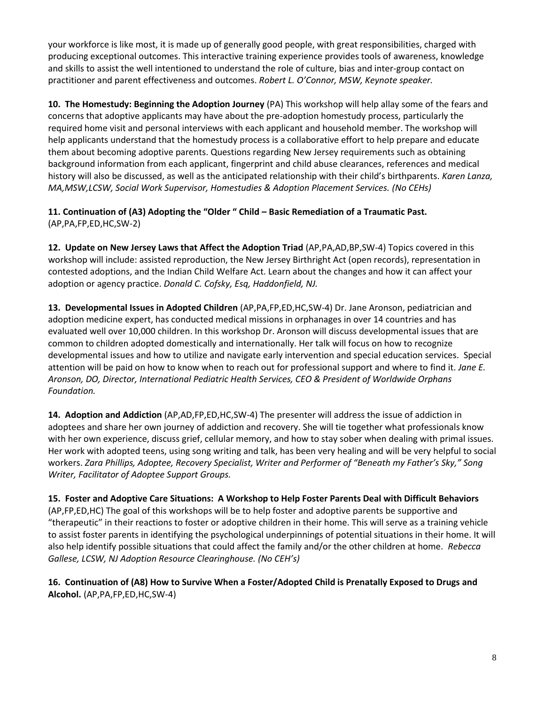your workforce is like most, it is made up of generally good people, with great responsibilities, charged with producing exceptional outcomes. This interactive training experience provides tools of awareness, knowledge and skills to assist the well intentioned to understand the role of culture, bias and inter-group contact on practitioner and parent effectiveness and outcomes. *Robert L. O'Connor, MSW, Keynote speaker.*

**10. The Homestudy: Beginning the Adoption Journey** (PA) This workshop will help allay some of the fears and concerns that adoptive applicants may have about the pre-adoption homestudy process, particularly the required home visit and personal interviews with each applicant and household member. The workshop will help applicants understand that the homestudy process is a collaborative effort to help prepare and educate them about becoming adoptive parents. Questions regarding New Jersey requirements such as obtaining background information from each applicant, fingerprint and child abuse clearances, references and medical history will also be discussed, as well as the anticipated relationship with their child's birthparents. *Karen Lanza, MA,MSW,LCSW, Social Work Supervisor, Homestudies & Adoption Placement Services. (No CEHs)*

**11. Continuation of (A3) Adopting the "Older " Child – Basic Remediation of a Traumatic Past.**  (AP,PA,FP,ED,HC,SW-2)

**12. Update on New Jersey Laws that Affect the Adoption Triad** (AP,PA,AD,BP,SW-4) Topics covered in this workshop will include: assisted reproduction, the New Jersey Birthright Act (open records), representation in contested adoptions, and the Indian Child Welfare Act. Learn about the changes and how it can affect your adoption or agency practice. *Donald C. Cofsky, Esq, Haddonfield, NJ.* 

**13. Developmental Issues in Adopted Children** (AP,PA,FP,ED,HC,SW-4) Dr. Jane Aronson, pediatrician and adoption medicine expert, has conducted medical missions in orphanages in over 14 countries and has evaluated well over 10,000 children. In this workshop Dr. Aronson will discuss developmental issues that are common to children adopted domestically and internationally. Her talk will focus on how to recognize developmental issues and how to utilize and navigate early intervention and special education services. Special attention will be paid on how to know when to reach out for professional support and where to find it. *Jane E. Aronson, DO, Director, International Pediatric Health Services, CEO & President of Worldwide Orphans Foundation.*

**14. Adoption and Addiction** (AP,AD,FP,ED,HC,SW-4) The presenter will address the issue of addiction in adoptees and share her own journey of addiction and recovery. She will tie together what professionals know with her own experience, discuss grief, cellular memory, and how to stay sober when dealing with primal issues. Her work with adopted teens, using song writing and talk, has been very healing and will be very helpful to social workers. *Zara Phillips, Adoptee, Recovery Specialist, Writer and Performer of "Beneath my Father's Sky," Song Writer, Facilitator of Adoptee Support Groups.* 

**15. Foster and Adoptive Care Situations: A Workshop to Help Foster Parents Deal with Difficult Behaviors**  (AP,FP,ED,HC) The goal of this workshops will be to help foster and adoptive parents be supportive and "therapeutic" in their reactions to foster or adoptive children in their home. This will serve as a training vehicle to assist foster parents in identifying the psychological underpinnings of potential situations in their home. It will also help identify possible situations that could affect the family and/or the other children at home. *Rebecca Gallese, LCSW, NJ Adoption Resource Clearinghouse. (No CEH's)*

**16. Continuation of (A8) How to Survive When a Foster/Adopted Child is Prenatally Exposed to Drugs and Alcohol.** (AP,PA,FP,ED,HC,SW-4)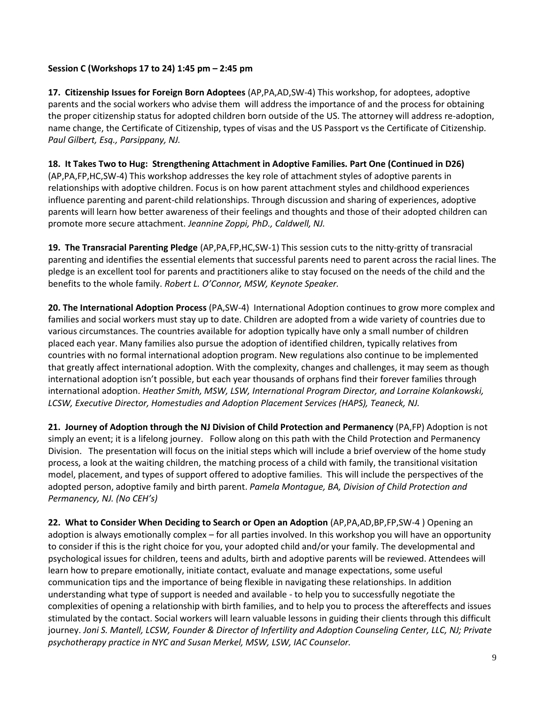## **Session C (Workshops 17 to 24) 1:45 pm – 2:45 pm**

**17. Citizenship Issues for Foreign Born Adoptees** (AP,PA,AD,SW-4) This workshop, for adoptees, adoptive parents and the social workers who advise them will address the importance of and the process for obtaining the proper citizenship status for adopted children born outside of the US. The attorney will address re-adoption, name change, the Certificate of Citizenship, types of visas and the US Passport vs the Certificate of Citizenship. *Paul Gilbert, Esq., Parsippany, NJ.*

**18. It Takes Two to Hug: Strengthening Attachment in Adoptive Families. Part One (Continued in D26)**  (AP,PA,FP,HC,SW-4) This workshop addresses the key role of attachment styles of adoptive parents in relationships with adoptive children. Focus is on how parent attachment styles and childhood experiences influence parenting and parent-child relationships. Through discussion and sharing of experiences, adoptive parents will learn how better awareness of their feelings and thoughts and those of their adopted children can promote more secure attachment. *Jeannine Zoppi, PhD., Caldwell, NJ.* 

**19. The Transracial Parenting Pledge** (AP,PA,FP,HC,SW-1) This session cuts to the nitty-gritty of transracial parenting and identifies the essential elements that successful parents need to parent across the racial lines. The pledge is an excellent tool for parents and practitioners alike to stay focused on the needs of the child and the benefits to the whole family. *Robert L. O'Connor, MSW, Keynote Speaker.* 

**20. The International Adoption Process** (PA,SW-4) International Adoption continues to grow more complex and families and social workers must stay up to date. Children are adopted from a wide variety of countries due to various circumstances. The countries available for adoption typically have only a small number of children placed each year. Many families also pursue the adoption of identified children, typically relatives from countries with no formal international adoption program. New regulations also continue to be implemented that greatly affect international adoption. With the complexity, changes and challenges, it may seem as though international adoption isn't possible, but each year thousands of orphans find their forever families through international adoption. *Heather Smith, MSW, LSW, International Program Director, and Lorraine Kolankowski, LCSW, Executive Director, Homestudies and Adoption Placement Services (HAPS), Teaneck, NJ.*

**21. Journey of Adoption through the NJ Division of Child Protection and Permanency** (PA,FP) Adoption is not simply an event; it is a lifelong journey. Follow along on this path with the Child Protection and Permanency Division. The presentation will focus on the initial steps which will include a brief overview of the home study process, a look at the waiting children, the matching process of a child with family, the transitional visitation model, placement, and types of support offered to adoptive families. This will include the perspectives of the adopted person, adoptive family and birth parent. *Pamela Montague, BA, Division of Child Protection and Permanency, NJ. (No CEH's)*

**22. What to Consider When Deciding to Search or Open an Adoption** (AP,PA,AD,BP,FP,SW-4 ) Opening an adoption is always emotionally complex – for all parties involved. In this workshop you will have an opportunity to consider if this is the right choice for you, your adopted child and/or your family. The developmental and psychological issues for children, teens and adults, birth and adoptive parents will be reviewed. Attendees will learn how to prepare emotionally, initiate contact, evaluate and manage expectations, some useful communication tips and the importance of being flexible in navigating these relationships. In addition understanding what type of support is needed and available - to help you to successfully negotiate the complexities of opening a relationship with birth families, and to help you to process the aftereffects and issues stimulated by the contact. Social workers will learn valuable lessons in guiding their clients through this difficult journey. *Joni S. Mantell, LCSW, Founder & Director of Infertility and Adoption Counseling Center, LLC, NJ; Private psychotherapy practice in NYC and Susan Merkel, MSW, LSW, IAC Counselor.*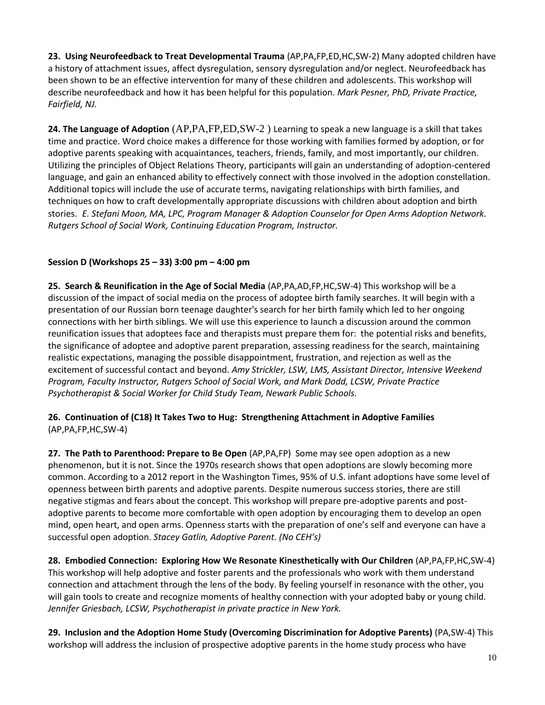**23. Using Neurofeedback to Treat Developmental Trauma** (AP,PA,FP,ED,HC,SW-2) Many adopted children have a history of attachment issues, affect dysregulation, sensory dysregulation and/or neglect. Neurofeedback has been shown to be an effective intervention for many of these children and adolescents. This workshop will describe neurofeedback and how it has been helpful for this population. *Mark Pesner, PhD, Private Practice, Fairfield, NJ.*

**24. The Language of Adoption** (AP,PA,FP,ED,SW-2 ) Learning to speak a new language is a skill that takes time and practice. Word choice makes a difference for those working with families formed by adoption, or for adoptive parents speaking with acquaintances, teachers, friends, family, and most importantly, our children. Utilizing the principles of Object Relations Theory, participants will gain an understanding of adoption-centered language, and gain an enhanced ability to effectively connect with those involved in the adoption constellation. Additional topics will include the use of accurate terms, navigating relationships with birth families, and techniques on how to craft developmentally appropriate discussions with children about adoption and birth stories. *E. Stefani Moon, MA, LPC, Program Manager & Adoption Counselor for Open Arms Adoption Network. Rutgers School of Social Work, Continuing Education Program, Instructor.*

## **Session D (Workshops 25 – 33) 3:00 pm – 4:00 pm**

**25. Search & Reunification in the Age of Social Media** (AP,PA,AD,FP,HC,SW-4) This workshop will be a discussion of the impact of social media on the process of adoptee birth family searches. It will begin with a presentation of our Russian born teenage daughter's search for her birth family which led to her ongoing connections with her birth siblings. We will use this experience to launch a discussion around the common reunification issues that adoptees face and therapists must prepare them for: the potential risks and benefits, the significance of adoptee and adoptive parent preparation, assessing readiness for the search, maintaining realistic expectations, managing the possible disappointment, frustration, and rejection as well as the excitement of successful contact and beyond. *Amy Strickler, LSW, LMS, Assistant Director, Intensive Weekend Program, Faculty Instructor, Rutgers School of Social Work, and Mark Dodd, LCSW, Private Practice Psychotherapist & Social Worker for Child Study Team, Newark Public Schools.* 

#### **26. Continuation of (C18) It Takes Two to Hug: Strengthening Attachment in Adoptive Families**  (AP,PA,FP,HC,SW-4)

**27. The Path to Parenthood: Prepare to Be Open** (AP,PA,FP) Some may see open adoption as a new phenomenon, but it is not. Since the 1970s research shows that open adoptions are slowly becoming more common. According to a 2012 report in the Washington Times, 95% of U.S. infant adoptions have some level of openness between birth parents and adoptive parents. Despite numerous success stories, there are still negative stigmas and fears about the concept. This workshop will prepare pre-adoptive parents and postadoptive parents to become more comfortable with open adoption by encouraging them to develop an open mind, open heart, and open arms. Openness starts with the preparation of one's self and everyone can have a successful open adoption. *Stacey Gatlin, Adoptive Parent. (No CEH's)*

**28. Embodied Connection: Exploring How We Resonate Kinesthetically with Our Children** (AP,PA,FP,HC,SW-4) This workshop will help adoptive and foster parents and the professionals who work with them understand connection and attachment through the lens of the body. By feeling yourself in resonance with the other, you will gain tools to create and recognize moments of healthy connection with your adopted baby or young child. *Jennifer Griesbach, LCSW, Psychotherapist in private practice in New York.*

**29. Inclusion and the Adoption Home Study (Overcoming Discrimination for Adoptive Parents)** (PA,SW-4) This workshop will address the inclusion of prospective adoptive parents in the home study process who have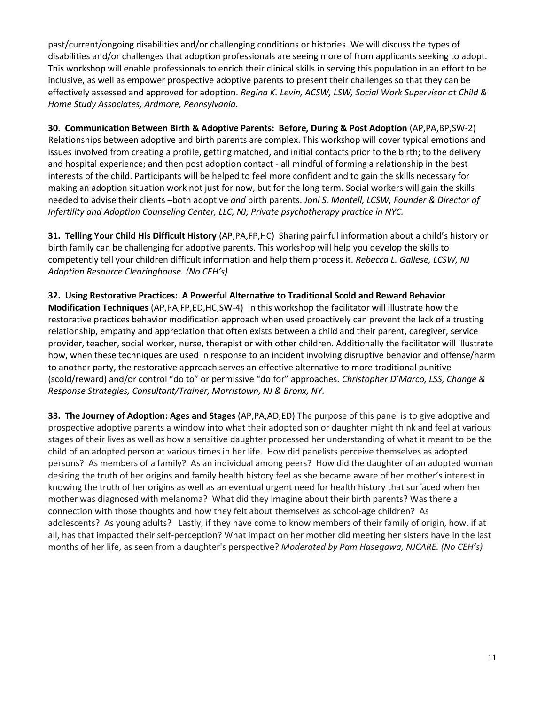past/current/ongoing disabilities and/or challenging conditions or histories. We will discuss the types of disabilities and/or challenges that adoption professionals are seeing more of from applicants seeking to adopt. This workshop will enable professionals to enrich their clinical skills in serving this population in an effort to be inclusive, as well as empower prospective adoptive parents to present their challenges so that they can be effectively assessed and approved for adoption. *Regina K. Levin, ACSW, LSW, Social Work Supervisor at Child & Home Study Associates, Ardmore, Pennsylvania.* 

**30. Communication Between Birth & Adoptive Parents: Before, During & Post Adoption** (AP,PA,BP,SW-2) Relationships between adoptive and birth parents are complex. This workshop will cover typical emotions and issues involved from creating a profile, getting matched, and initial contacts prior to the birth; to the delivery and hospital experience; and then post adoption contact - all mindful of forming a relationship in the best interests of the child. Participants will be helped to feel more confident and to gain the skills necessary for making an adoption situation work not just for now, but for the long term. Social workers will gain the skills needed to advise their clients –both adoptive *and* birth parents. *Joni S. Mantell, LCSW, Founder & Director of Infertility and Adoption Counseling Center, LLC, NJ; Private psychotherapy practice in NYC.* 

**31. Telling Your Child His Difficult History** (AP,PA,FP,HC) Sharing painful information about a child's history or birth family can be challenging for adoptive parents. This workshop will help you develop the skills to competently tell your children difficult information and help them process it. *Rebecca L. Gallese, LCSW, NJ Adoption Resource Clearinghouse. (No CEH's)*

**32. Using Restorative Practices: A Powerful Alternative to Traditional Scold and Reward Behavior Modification Techniques** (AP,PA,FP,ED,HC,SW-4) In this workshop the facilitator will illustrate how the restorative practices behavior modification approach when used proactively can prevent the lack of a trusting relationship, empathy and appreciation that often exists between a child and their parent, caregiver, service provider, teacher, social worker, nurse, therapist or with other children. Additionally the facilitator will illustrate how, when these techniques are used in response to an incident involving disruptive behavior and offense/harm to another party, the restorative approach serves an effective alternative to more traditional punitive (scold/reward) and/or control "do to" or permissive "do for" approaches. *Christopher D'Marco, LSS, Change & Response Strategies, Consultant/Trainer, Morristown, NJ & Bronx, NY.*

**33. The Journey of Adoption: Ages and Stages** (AP,PA,AD,ED) The purpose of this panel is to give adoptive and prospective adoptive parents a window into what their adopted son or daughter might think and feel at various stages of their lives as well as how a sensitive daughter processed her understanding of what it meant to be the child of an adopted person at various times in her life. How did panelists perceive themselves as adopted persons? As members of a family? As an individual among peers? How did the daughter of an adopted woman desiring the truth of her origins and family health history feel as she became aware of her mother's interest in knowing the truth of her origins as well as an eventual urgent need for health history that surfaced when her mother was diagnosed with melanoma? What did they imagine about their birth parents? Was there a connection with those thoughts and how they felt about themselves as school-age children? As adolescents? As young adults? Lastly, if they have come to know members of their family of origin, how, if at all, has that impacted their self-perception? What impact on her mother did meeting her sisters have in the last months of her life, as seen from a daughter's perspective? *Moderated by Pam Hasegawa, NJCARE. (No CEH's)*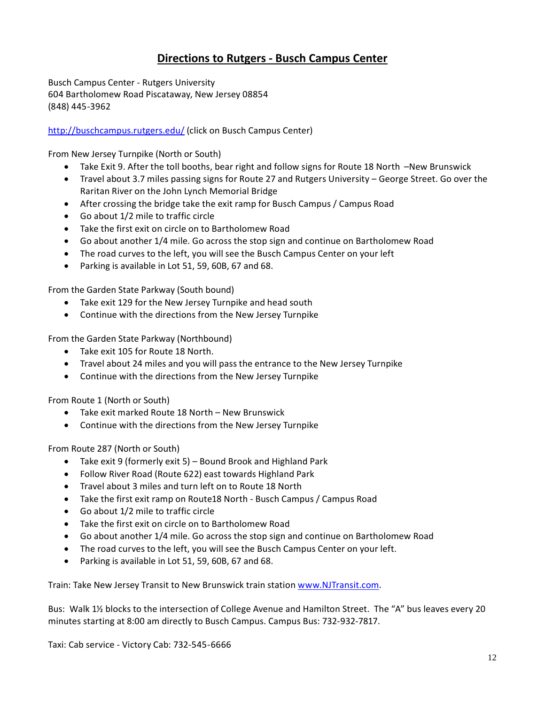## **Directions to Rutgers - Busch Campus Center**

Busch Campus Center - Rutgers University 604 Bartholomew Road Piscataway, New Jersey 08854 (848) 445-3962

## <http://buschcampus.rutgers.edu/> (click on Busch Campus Center)

From New Jersey Turnpike (North or South)

- Take Exit 9. After the toll booths, bear right and follow signs for Route 18 North –New Brunswick
- Travel about 3.7 miles passing signs for Route 27 and Rutgers University George Street. Go over the Raritan River on the John Lynch Memorial Bridge
- After crossing the bridge take the exit ramp for Busch Campus / Campus Road
- Go about 1/2 mile to traffic circle
- Take the first exit on circle on to Bartholomew Road
- Go about another 1/4 mile. Go across the stop sign and continue on Bartholomew Road
- The road curves to the left, you will see the Busch Campus Center on your left
- Parking is available in Lot 51, 59, 60B, 67 and 68.

From the Garden State Parkway (South bound)

- Take exit 129 for the New Jersey Turnpike and head south
- Continue with the directions from the New Jersey Turnpike

From the Garden State Parkway (Northbound)

- Take exit 105 for Route 18 North.
- Travel about 24 miles and you will pass the entrance to the New Jersey Turnpike
- Continue with the directions from the New Jersey Turnpike

From Route 1 (North or South)

- Take exit marked Route 18 North New Brunswick
- Continue with the directions from the New Jersey Turnpike

From Route 287 (North or South)

- Take exit 9 (formerly exit 5) Bound Brook and Highland Park
- Follow River Road (Route 622) east towards Highland Park
- Travel about 3 miles and turn left on to Route 18 North
- Take the first exit ramp on Route18 North Busch Campus / Campus Road
- Go about 1/2 mile to traffic circle
- Take the first exit on circle on to Bartholomew Road
- Go about another 1/4 mile. Go across the stop sign and continue on Bartholomew Road
- The road curves to the left, you will see the Busch Campus Center on your left.
- Parking is available in Lot 51, 59, 60B, 67 and 68.

Train: Take New Jersey Transit to New Brunswick train station [www.NJTransit.com.](http://www.njtransit.com/)

Bus: Walk 1½ blocks to the intersection of College Avenue and Hamilton Street. The "A" bus leaves every 20 minutes starting at 8:00 am directly to Busch Campus. Campus Bus: 732-932-7817.

Taxi: Cab service - Victory Cab: 732-545-6666